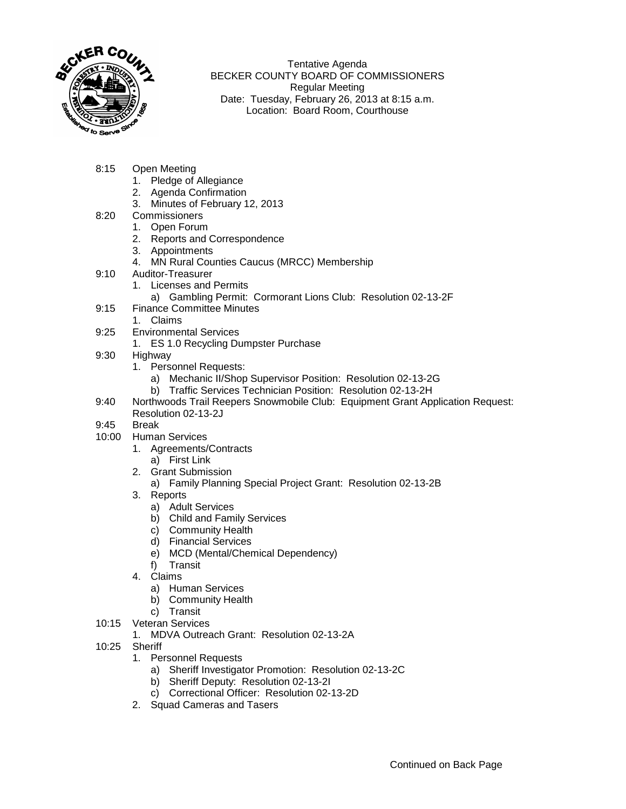

Tentative Agenda BECKER COUNTY BOARD OF COMMISSIONERS Regular Meeting Date: Tuesday, February 26, 2013 at 8:15 a.m. Location: Board Room, Courthouse

- 8:15 Open Meeting
	- 1. Pledge of Allegiance
	- 2. Agenda Confirmation
	- 3. Minutes of February 12, 2013
- 8:20 Commissioners
	- 1. Open Forum
	- 2. Reports and Correspondence
	- 3. Appointments
	- 4. MN Rural Counties Caucus (MRCC) Membership
- 9:10 Auditor-Treasurer
	- 1. Licenses and Permits
		- a) Gambling Permit: Cormorant Lions Club: Resolution 02-13-2F
- 9:15 Finance Committee Minutes
	- 1. Claims
- 9:25 Environmental Services
	- 1. ES 1.0 Recycling Dumpster Purchase
- 9:30 Highway
	- 1. Personnel Requests:
		- a) Mechanic II/Shop Supervisor Position: Resolution 02-13-2G
		- b) Traffic Services Technician Position: Resolution 02-13-2H
- 9:40 Northwoods Trail Reepers Snowmobile Club: Equipment Grant Application Request: Resolution 02-13-2J

## 9:45 Break

- 10:00 Human Services
	- 1. Agreements/Contracts
		- a) First Link
	- 2. Grant Submission
		- a) Family Planning Special Project Grant: Resolution 02-13-2B
	- 3. Reports
		- a) Adult Services
		- b) Child and Family Services
		- c) Community Health
		- d) Financial Services
		- e) MCD (Mental/Chemical Dependency)
		- f) Transit
	- 4. Claims
		- a) Human Services
		- b) Community Health
	- c) Transit
- 10:15 Veteran Services
	- 1. MDVA Outreach Grant: Resolution 02-13-2A
- 10:25 Sheriff
	- 1. Personnel Requests
		- a) Sheriff Investigator Promotion: Resolution 02-13-2C
		- b) Sheriff Deputy: Resolution 02-13-2I
		- c) Correctional Officer: Resolution 02-13-2D
	- 2. Squad Cameras and Tasers